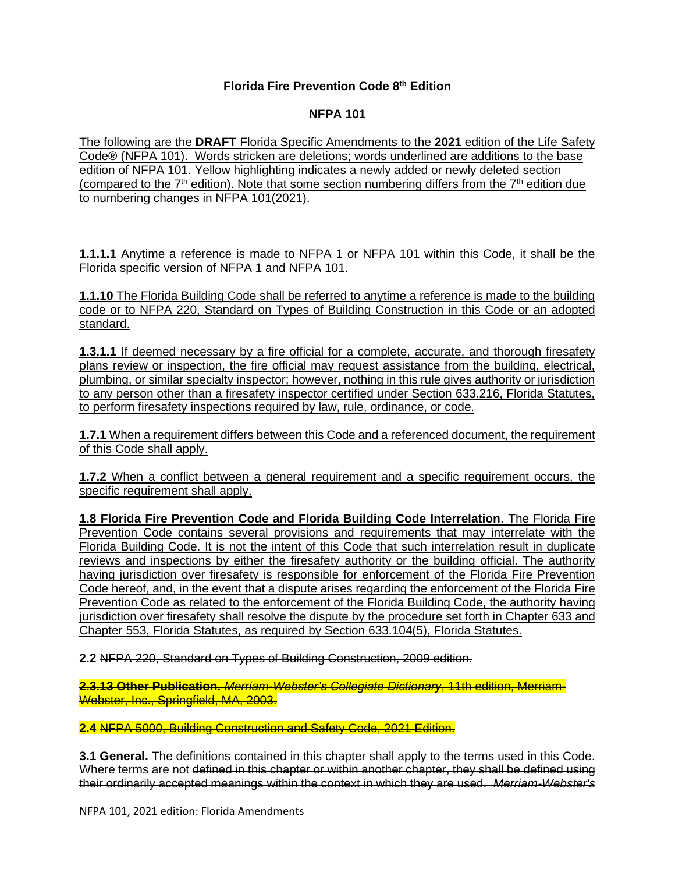## **Florida Fire Prevention Code 8 th Edition**

## **NFPA 101**

The following are the **DRAFT** Florida Specific Amendments to the **2021** edition of the Life Safety Code® (NFPA 101). Words stricken are deletions; words underlined are additions to the base edition of NFPA 101. Yellow highlighting indicates a newly added or newly deleted section (compared to the  $7<sup>th</sup>$  edition). Note that some section numbering differs from the  $7<sup>th</sup>$  edition due to numbering changes in NFPA 101(2021).

**1.1.1.1** Anytime a reference is made to NFPA 1 or NFPA 101 within this Code, it shall be the Florida specific version of NFPA 1 and NFPA 101.

**1.1.10** The Florida Building Code shall be referred to anytime a reference is made to the building code or to NFPA 220, Standard on Types of Building Construction in this Code or an adopted standard.

**1.3.1.1** If deemed necessary by a fire official for a complete, accurate, and thorough firesafety plans review or inspection, the fire official may request assistance from the building, electrical, plumbing, or similar specialty inspector; however, nothing in this rule gives authority or jurisdiction to any person other than a firesafety inspector certified under Section 633.216, Florida Statutes, to perform firesafety inspections required by law, rule, ordinance, or code.

**1.7.1** When a requirement differs between this Code and a referenced document, the requirement of this Code shall apply.

**1.7.2** When a conflict between a general requirement and a specific requirement occurs, the specific requirement shall apply.

**1.8 Florida Fire Prevention Code and Florida Building Code Interrelation**. The Florida Fire Prevention Code contains several provisions and requirements that may interrelate with the Florida Building Code. It is not the intent of this Code that such interrelation result in duplicate reviews and inspections by either the firesafety authority or the building official. The authority having jurisdiction over firesafety is responsible for enforcement of the Florida Fire Prevention Code hereof, and, in the event that a dispute arises regarding the enforcement of the Florida Fire Prevention Code as related to the enforcement of the Florida Building Code, the authority having jurisdiction over firesafety shall resolve the dispute by the procedure set forth in Chapter 633 and Chapter 553, Florida Statutes, as required by Section 633.104(5), Florida Statutes.

**2.2** NFPA 220, Standard on Types of Building Construction, 2009 edition.

**2.3.13 Other Publication.** *Merriam-Webster's Collegiate Dictionary*, 11th edition, Merriam-Webster, Inc., Springfield, MA, 2003.

**2.4** NFPA 5000, Building Construction and Safety Code, 2021 Edition.

**3.1 General.** The definitions contained in this chapter shall apply to the terms used in this Code. Where terms are not defined in this chapter or within another chapter, they shall be defined using their ordinarily accepted meanings within the context in which they are used. *Merriam-Webster's*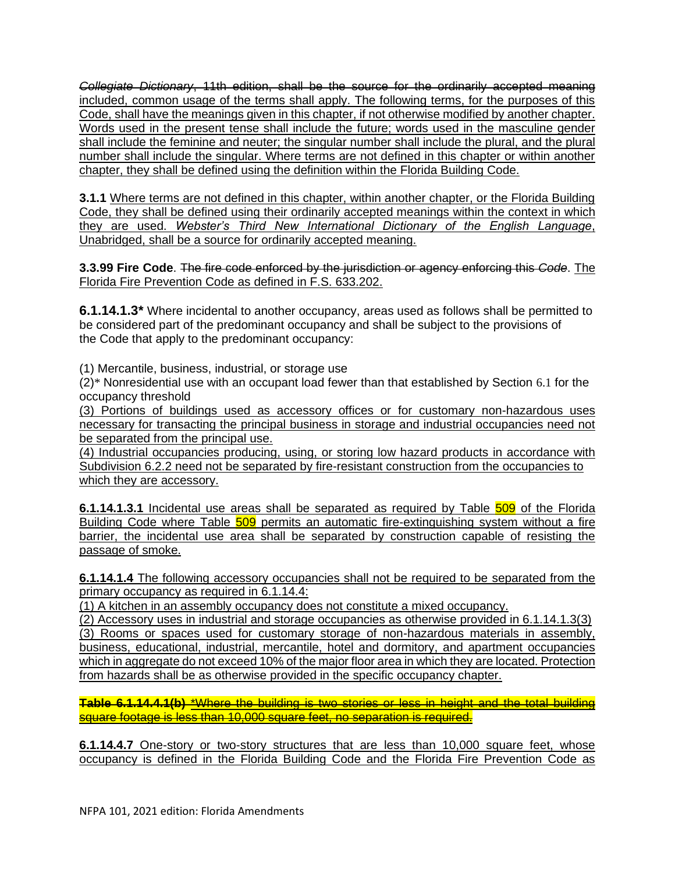*Collegiate Dictionary*, 11th edition, shall be the source for the ordinarily accepted meaning included, common usage of the terms shall apply. The following terms, for the purposes of this Code, shall have the meanings given in this chapter, if not otherwise modified by another chapter. Words used in the present tense shall include the future; words used in the masculine gender shall include the feminine and neuter; the singular number shall include the plural, and the plural number shall include the singular. Where terms are not defined in this chapter or within another chapter, they shall be defined using the definition within the Florida Building Code.

**3.1.1** Where terms are not defined in this chapter, within another chapter, or the Florida Building Code, they shall be defined using their ordinarily accepted meanings within the context in which they are used. *Webster's Third New International Dictionary of the English Language*, Unabridged, shall be a source for ordinarily accepted meaning.

**3.3.99 Fire Code**. The fire code enforced by the jurisdiction or agency enforcing this *Code*. The Florida Fire Prevention Code as defined in F.S. 633.202.

**6.1.14.1.3\*** Where incidental to another occupancy, areas used as follows shall be permitted to be considered part of the predominant occupancy and shall be subject to the provisions of the Code that apply to the predominant occupancy:

(1) Mercantile, business, industrial, or storage use

(2)\* Nonresidential use with an occupant load fewer than that established by Section 6.1 for the occupancy threshold

(3) Portions of buildings used as accessory offices or for customary non-hazardous uses necessary for transacting the principal business in storage and industrial occupancies need not be separated from the principal use.

(4) Industrial occupancies producing, using, or storing low hazard products in accordance with Subdivision 6.2.2 need not be separated by fire-resistant construction from the occupancies to which they are accessory.

**6.1.14.1.3.1** Incidental use areas shall be separated as required by Table 509 of the Florida Building Code where Table 509 permits an automatic fire-extinguishing system without a fire barrier, the incidental use area shall be separated by construction capable of resisting the passage of smoke.

**6.1.14.1.4** The following accessory occupancies shall not be required to be separated from the primary occupancy as required in 6.1.14.4:

(1) A kitchen in an assembly occupancy does not constitute a mixed occupancy.

(2) Accessory uses in industrial and storage occupancies as otherwise provided in 6.1.14.1.3(3) (3) Rooms or spaces used for customary storage of non-hazardous materials in assembly, business, educational, industrial, mercantile, hotel and dormitory, and apartment occupancies which in aggregate do not exceed 10% of the major floor area in which they are located. Protection from hazards shall be as otherwise provided in the specific occupancy chapter.

**Table 6.1.14.4.1(b)** \*Where the building is two stories or less in height and the total building square footage is less than 10,000 square feet, no separation is required.

**6.1.14.4.7** One-story or two-story structures that are less than 10,000 square feet, whose occupancy is defined in the Florida Building Code and the Florida Fire Prevention Code as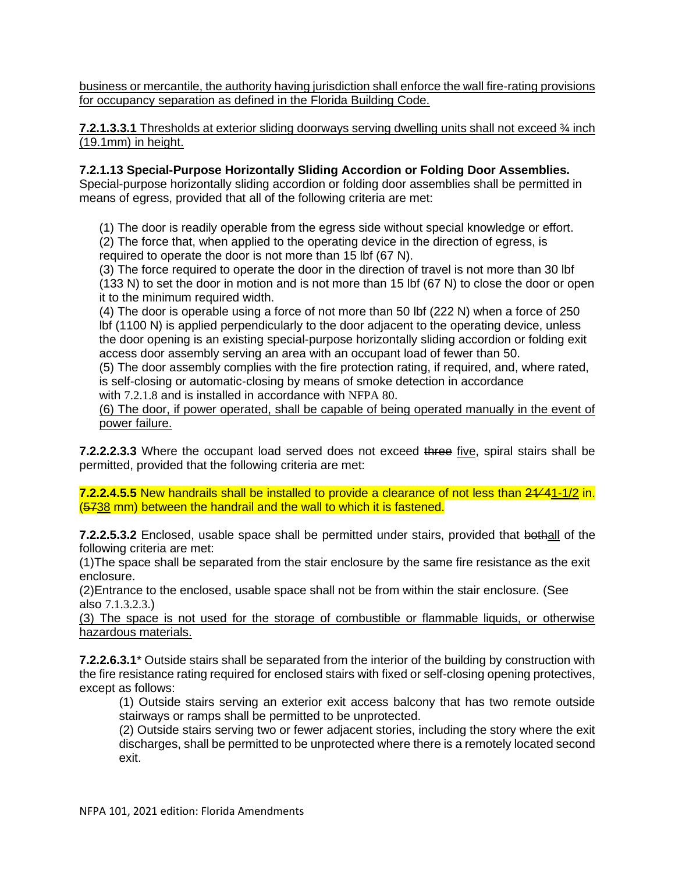business or mercantile, the authority having jurisdiction shall enforce the wall fire-rating provisions for occupancy separation as defined in the Florida Building Code.

**7.2.1.3.3.1** Thresholds at exterior sliding doorways serving dwelling units shall not exceed ¾ inch (19.1mm) in height.

## **7.2.1.13 Special-Purpose Horizontally Sliding Accordion or Folding Door Assemblies.**

Special-purpose horizontally sliding accordion or folding door assemblies shall be permitted in means of egress, provided that all of the following criteria are met:

(1) The door is readily operable from the egress side without special knowledge or effort. (2) The force that, when applied to the operating device in the direction of egress, is required to operate the door is not more than 15 lbf (67 N).

(3) The force required to operate the door in the direction of travel is not more than 30 lbf (133 N) to set the door in motion and is not more than 15 lbf (67 N) to close the door or open it to the minimum required width.

(4) The door is operable using a force of not more than 50 lbf (222 N) when a force of 250 lbf (1100 N) is applied perpendicularly to the door adjacent to the operating device, unless the door opening is an existing special-purpose horizontally sliding accordion or folding exit access door assembly serving an area with an occupant load of fewer than 50.

(5) The door assembly complies with the fire protection rating, if required, and, where rated, is self-closing or automatic-closing by means of smoke detection in accordance with 7.2.1.8 and is installed in accordance with NFPA 80.

(6) The door, if power operated, shall be capable of being operated manually in the event of power failure.

**7.2.2.2.3.3** Where the occupant load served does not exceed three five, spiral stairs shall be permitted, provided that the following criteria are met:

**7.2.2.4.5.5** New handrails shall be installed to provide a clearance of not less than 21∕41-1/2 in. (5738 mm) between the handrail and the wall to which it is fastened.

**7.2.2.5.3.2** Enclosed, usable space shall be permitted under stairs, provided that bothall of the following criteria are met:

(1)The space shall be separated from the stair enclosure by the same fire resistance as the exit enclosure.

(2)Entrance to the enclosed, usable space shall not be from within the stair enclosure. (See also 7.1.3.2.3.)

(3) The space is not used for the storage of combustible or flammable liquids, or otherwise hazardous materials.

**7.2.2.6.3.1**\* Outside stairs shall be separated from the interior of the building by construction with the fire resistance rating required for enclosed stairs with fixed or self-closing opening protectives, except as follows:

(1) Outside stairs serving an exterior exit access balcony that has two remote outside stairways or ramps shall be permitted to be unprotected.

(2) Outside stairs serving two or fewer adjacent stories, including the story where the exit discharges, shall be permitted to be unprotected where there is a remotely located second exit.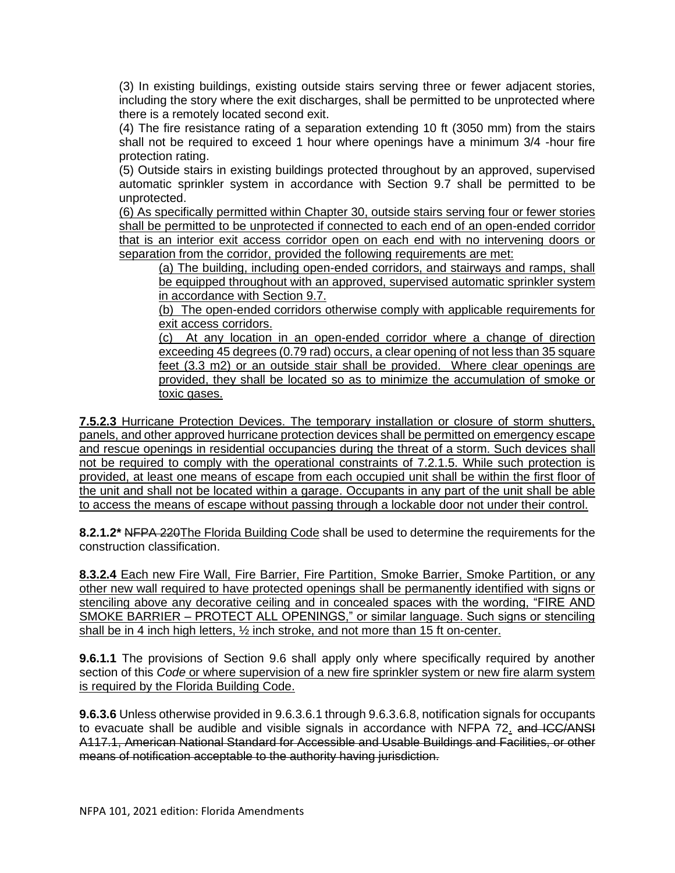(3) In existing buildings, existing outside stairs serving three or fewer adjacent stories, including the story where the exit discharges, shall be permitted to be unprotected where there is a remotely located second exit.

(4) The fire resistance rating of a separation extending 10 ft (3050 mm) from the stairs shall not be required to exceed 1 hour where openings have a minimum 3/4 -hour fire protection rating.

(5) Outside stairs in existing buildings protected throughout by an approved, supervised automatic sprinkler system in accordance with Section 9.7 shall be permitted to be unprotected.

(6) As specifically permitted within Chapter 30, outside stairs serving four or fewer stories shall be permitted to be unprotected if connected to each end of an open-ended corridor that is an interior exit access corridor open on each end with no intervening doors or separation from the corridor, provided the following requirements are met:

(a) The building, including open-ended corridors, and stairways and ramps, shall be equipped throughout with an approved, supervised automatic sprinkler system in accordance with Section 9.7.

(b) The open-ended corridors otherwise comply with applicable requirements for exit access corridors.

(c) At any location in an open-ended corridor where a change of direction exceeding 45 degrees (0.79 rad) occurs, a clear opening of not less than 35 square feet (3.3 m2) or an outside stair shall be provided. Where clear openings are provided, they shall be located so as to minimize the accumulation of smoke or toxic gases.

**7.5.2.3** Hurricane Protection Devices. The temporary installation or closure of storm shutters, panels, and other approved hurricane protection devices shall be permitted on emergency escape and rescue openings in residential occupancies during the threat of a storm. Such devices shall not be required to comply with the operational constraints of 7.2.1.5. While such protection is provided, at least one means of escape from each occupied unit shall be within the first floor of the unit and shall not be located within a garage. Occupants in any part of the unit shall be able to access the means of escape without passing through a lockable door not under their control.

**8.2.1.2\*** NFPA 220The Florida Building Code shall be used to determine the requirements for the construction classification.

**8.3.2.4** Each new Fire Wall, Fire Barrier, Fire Partition, Smoke Barrier, Smoke Partition, or any other new wall required to have protected openings shall be permanently identified with signs or stenciling above any decorative ceiling and in concealed spaces with the wording, "FIRE AND SMOKE BARRIER – PROTECT ALL OPENINGS," or similar language. Such signs or stenciling shall be in 4 inch high letters, ½ inch stroke, and not more than 15 ft on-center.

**9.6.1.1** The provisions of Section 9.6 shall apply only where specifically required by another section of this *Code* or where supervision of a new fire sprinkler system or new fire alarm system is required by the Florida Building Code.

**9.6.3.6** Unless otherwise provided in 9.6.3.6.1 through 9.6.3.6.8, notification signals for occupants to evacuate shall be audible and visible signals in accordance with NFPA 72. and ICC/ANSI A117.1, American National Standard for Accessible and Usable Buildings and Facilities, or other means of notification acceptable to the authority having jurisdiction.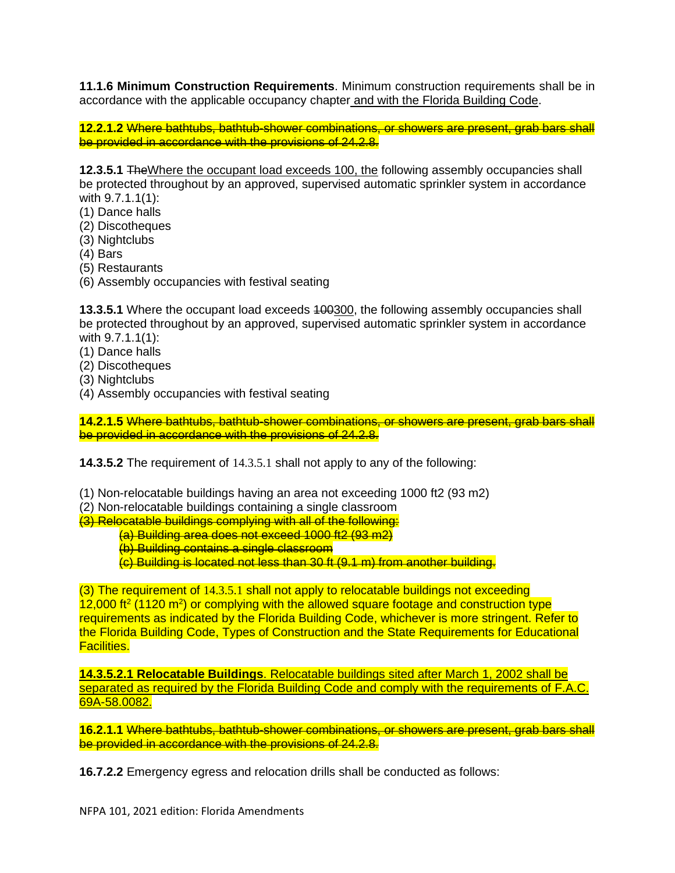**11.1.6 Minimum Construction Requirements**. Minimum construction requirements shall be in accordance with the applicable occupancy chapter and with the Florida Building Code.

**12.2.1.2** Where bathtubs, bathtub-shower combinations, or showers are present, grab bars shall be provided in accordance with the provisions of 24.2.8.

**12.3.5.1** TheWhere the occupant load exceeds 100, the following assembly occupancies shall be protected throughout by an approved, supervised automatic sprinkler system in accordance with 9.7.1.1(1):

- (1) Dance halls
- (2) Discotheques
- (3) Nightclubs
- (4) Bars
- (5) Restaurants
- (6) Assembly occupancies with festival seating

**13.3.5.1** Where the occupant load exceeds 100300, the following assembly occupancies shall be protected throughout by an approved, supervised automatic sprinkler system in accordance with 9.7.1.1(1):

- (1) Dance halls
- (2) Discotheques
- (3) Nightclubs
- (4) Assembly occupancies with festival seating

**14.2.1.5** Where bathtubs, bathtub-shower combinations, or showers are present, grab bars shall be provided in accordance with the provisions of 24.2.8.

**14.3.5.2** The requirement of 14.3.5.1 shall not apply to any of the following:

- (1) Non-relocatable buildings having an area not exceeding 1000 ft2 (93 m2)
- (2) Non-relocatable buildings containing a single classroom
- (3) Relocatable buildings complying with all of the following:
	- (a) Building area does not exceed 1000 ft2 (93 m2)
	- (b) Building contains a single classroom
	- (c) Building is located not less than 30 ft (9.1 m) from another building.

(3) The requirement of 14.3.5.1 shall not apply to relocatable buildings not exceeding  $12,000$  ft<sup>2</sup> (1120 m<sup>2</sup>) or complying with the allowed square footage and construction type requirements as indicated by the Florida Building Code, whichever is more stringent. Refer to the Florida Building Code, Types of Construction and the State Requirements for Educational Facilities.

**14.3.5.2.1 Relocatable Buildings**. Relocatable buildings sited after March 1, 2002 shall be separated as required by the Florida Building Code and comply with the requirements of F.A.C. 69A-58.0082.

**16.2.1.1** Where bathtubs, bathtub-shower combinations, or showers are present, grab bars shall be provided in accordance with the provisions of 24.2.8.

**16.7.2.2** Emergency egress and relocation drills shall be conducted as follows: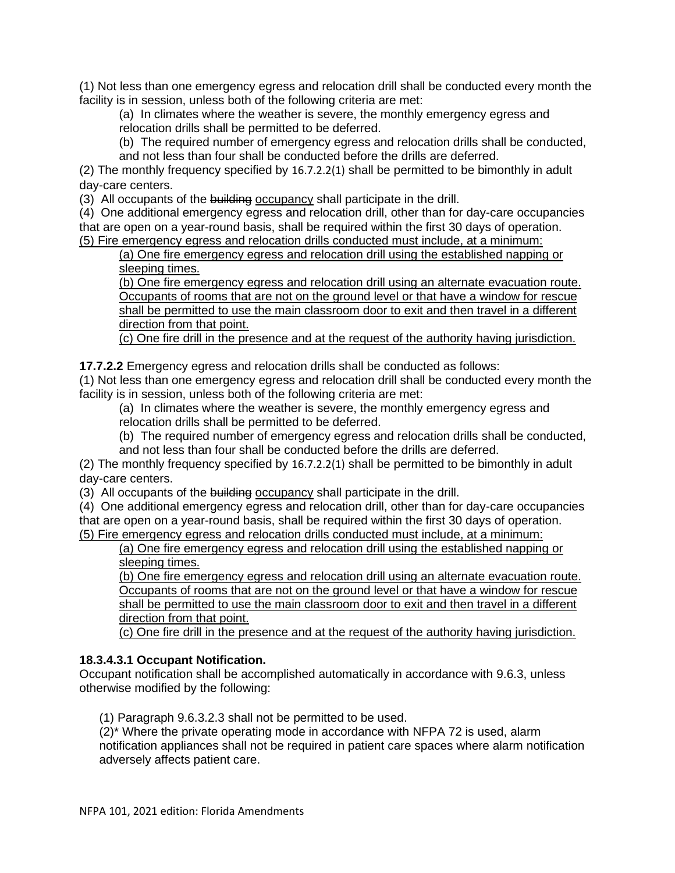(1) Not less than one emergency egress and relocation drill shall be conducted every month the facility is in session, unless both of the following criteria are met:

(a) In climates where the weather is severe, the monthly emergency egress and relocation drills shall be permitted to be deferred.

(b) The required number of emergency egress and relocation drills shall be conducted, and not less than four shall be conducted before the drills are deferred.

(2) The monthly frequency specified by 16.7.2.2(1) shall be permitted to be bimonthly in adult day-care centers.

(3) All occupants of the building occupancy shall participate in the drill.

(4) One additional emergency egress and relocation drill, other than for day-care occupancies that are open on a year-round basis, shall be required within the first 30 days of operation. (5) Fire emergency egress and relocation drills conducted must include, at a minimum:

(a) One fire emergency egress and relocation drill using the established napping or sleeping times.

(b) One fire emergency egress and relocation drill using an alternate evacuation route. Occupants of rooms that are not on the ground level or that have a window for rescue shall be permitted to use the main classroom door to exit and then travel in a different direction from that point.

(c) One fire drill in the presence and at the request of the authority having jurisdiction.

**17.7.2.2** Emergency egress and relocation drills shall be conducted as follows:

(1) Not less than one emergency egress and relocation drill shall be conducted every month the facility is in session, unless both of the following criteria are met:

(a) In climates where the weather is severe, the monthly emergency egress and relocation drills shall be permitted to be deferred.

(b) The required number of emergency egress and relocation drills shall be conducted, and not less than four shall be conducted before the drills are deferred.

(2) The monthly frequency specified by 16.7.2.2(1) shall be permitted to be bimonthly in adult day-care centers.

(3) All occupants of the building occupancy shall participate in the drill.

(4) One additional emergency egress and relocation drill, other than for day-care occupancies that are open on a year-round basis, shall be required within the first 30 days of operation. (5) Fire emergency egress and relocation drills conducted must include, at a minimum:

(a) One fire emergency egress and relocation drill using the established napping or sleeping times.

(b) One fire emergency egress and relocation drill using an alternate evacuation route. Occupants of rooms that are not on the ground level or that have a window for rescue shall be permitted to use the main classroom door to exit and then travel in a different direction from that point.

(c) One fire drill in the presence and at the request of the authority having jurisdiction.

## **18.3.4.3.1 Occupant Notification.**

Occupant notification shall be accomplished automatically in accordance with 9.6.3, unless otherwise modified by the following:

(1) Paragraph 9.6.3.2.3 shall not be permitted to be used.

(2)\* Where the private operating mode in accordance with NFPA 72 is used, alarm notification appliances shall not be required in patient care spaces where alarm notification adversely affects patient care.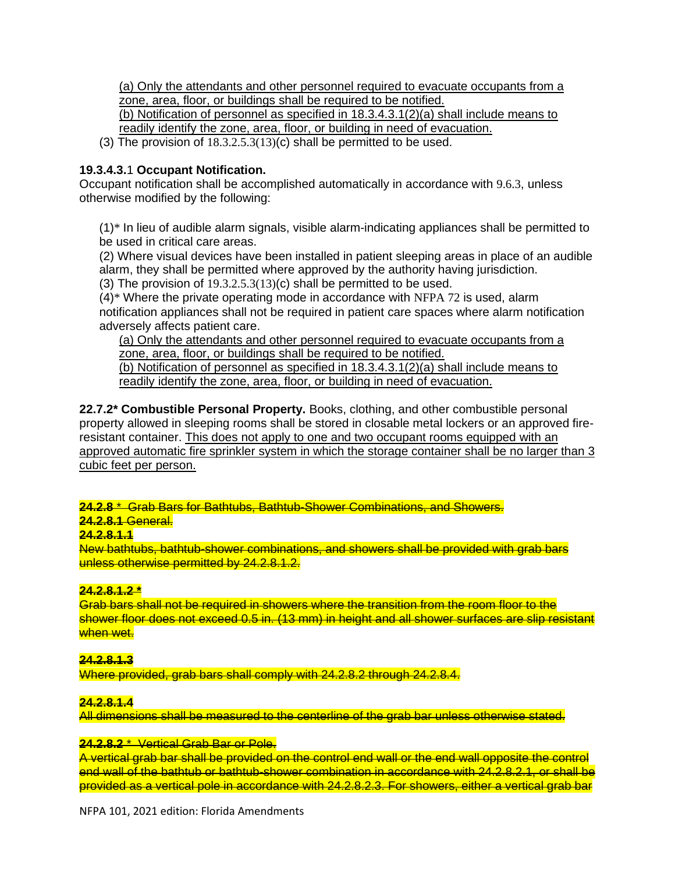(a) Only the attendants and other personnel required to evacuate occupants from a zone, area, floor, or buildings shall be required to be notified.

(b) Notification of personnel as specified in 18.3.4.3.1(2)(a) shall include means to readily identify the zone, area, floor, or building in need of evacuation.

(3) The provision of  $18.3.2.5.3(13)(c)$  shall be permitted to be used.

## **19.3.4.3.**1 **Occupant Notification.**

Occupant notification shall be accomplished automatically in accordance with 9.6.3, unless otherwise modified by the following:

(1)\* In lieu of audible alarm signals, visible alarm-indicating appliances shall be permitted to be used in critical care areas.

(2) Where visual devices have been installed in patient sleeping areas in place of an audible alarm, they shall be permitted where approved by the authority having jurisdiction. (3) The provision of  $19.3.2.5.3(13)(c)$  shall be permitted to be used.

(4)\* Where the private operating mode in accordance with NFPA 72 is used, alarm notification appliances shall not be required in patient care spaces where alarm notification adversely affects patient care.

(a) Only the attendants and other personnel required to evacuate occupants from a zone, area, floor, or buildings shall be required to be notified.

(b) Notification of personnel as specified in 18.3.4.3.1(2)(a) shall include means to readily identify the zone, area, floor, or building in need of evacuation.

**22.7.2\* Combustible Personal Property.** Books, clothing, and other combustible personal property allowed in sleeping rooms shall be stored in closable metal lockers or an approved fireresistant container. This does not apply to one and two occupant rooms equipped with an approved automatic fire sprinkler system in which the storage container shall be no larger than 3 cubic feet per person.

**24.2.8** \* Grab Bars for Bathtubs, Bathtub-Shower Combinations, and Showers.

# **24.2.8.1** General.

# **24.2.8.1.1**

New bathtubs, bathtub-shower combinations, and showers shall be provided with grab bars unless otherwise permitted by 24.2.8.1.2.

## **24.2.8.1.2 \***

Grab bars shall not be required in showers where the transition from the room floor to the shower floor does not exceed 0.5 in. (13 mm) in height and all shower surfaces are slip resistant when wet.

## **24.2.8.1.3**

Where provided, grab bars shall comply with 24.2.8.2 through 24.2.8.4.

## **24.2.8.1.4**

All dimensions shall be measured to the centerline of the grab bar unless otherwise stated.

## **24.2.8.2** \* Vertical Grab Bar or Pole.

A vertical grab bar shall be provided on the control end wall or the end wall opposite the control end wall of the bathtub or bathtub-shower combination in accordance with 24.2.8.2.1, or shall be provided as a vertical pole in accordance with 24.2.8.2.3. For showers, either a vertical grab bar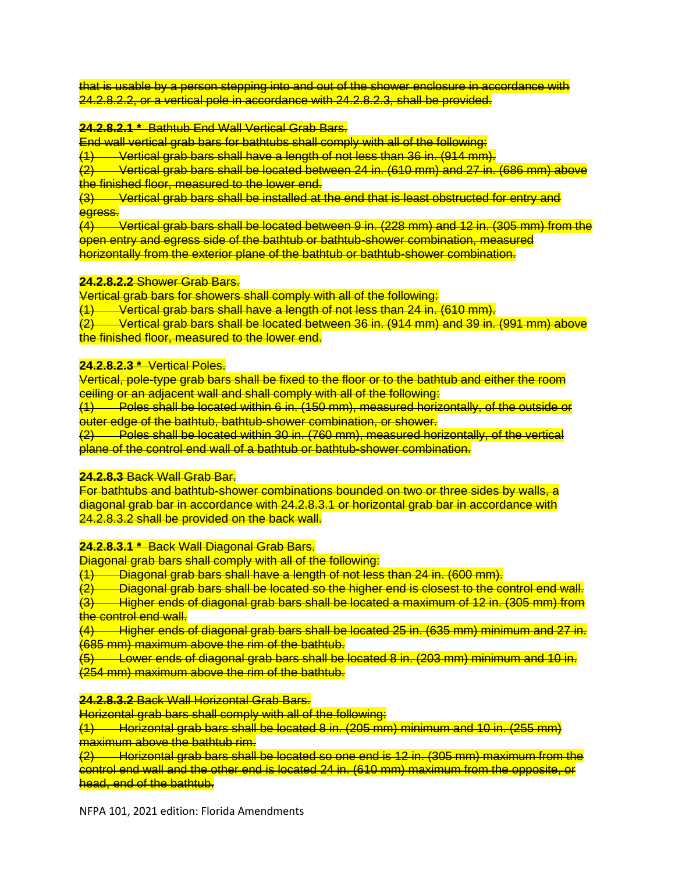that is usable by a person stepping into and out of the shower enclosure in accordance with 24.2.8.2.2, or a vertical pole in accordance with 24.2.8.2.3, shall be provided.

#### **24.2.8.2.1 \*** Bathtub End Wall Vertical Grab Bars.

End wall vertical grab bars for bathtubs shall comply with all of the following:

(1) Vertical grab bars shall have a length of not less than 36 in. (914 mm).

 $\overline{22}$  Vertical grab bars shall be located between 24 in. (610 mm) and 27 in. (686 mm) above the finished floor, measured to the lower end.

(3) Vertical grab bars shall be installed at the end that is least obstructed for entry and egress.

 $\overline{4}$  Vertical grab bars shall be located between 9 in. (228 mm) and 12 in. (305 mm) from the open entry and egress side of the bathtub or bathtub-shower combination, measured horizontally from the exterior plane of the bathtub or bathtub-shower combination.

#### **24.2.8.2.2** Shower Grab Bars.

Vertical grab bars for showers shall comply with all of the following:

(1) Vertical grab bars shall have a length of not less than 24 in. (610 mm).

(2) Vertical grab bars shall be located between 36 in. (914 mm) and 39 in. (991 mm) above the finished floor, measured to the lower end.

#### **24.2.8.2.3 \*** Vertical Poles.

Vertical, pole-type grab bars shall be fixed to the floor or to the bathtub and either the room ceiling or an adjacent wall and shall comply with all of the following:

 $(1)$  Poles shall be located within 6 in. (150 mm), measured horizontally, of the outside or outer edge of the bathtub, bathtub-shower combination, or shower.

(2) Poles shall be located within 30 in. (760 mm), measured horizontally, of the vertical plane of the control end wall of a bathtub or bathtub-shower combination.

#### **24.2.8.3** Back Wall Grab Bar.

For bathtubs and bathtub-shower combinations bounded on two or three sides by walls, a diagonal grab bar in accordance with 24.2.8.3.1 or horizontal grab bar in accordance with 24.2.8.3.2 shall be provided on the back wall.

#### **24.2.8.3.1 \*** Back Wall Diagonal Grab Bars.

Diagonal grab bars shall comply with all of the following:

 $(1)$  Diagonal grab bars shall have a length of not less than 24 in. (600 mm).

- $(2)$  Diagonal grab bars shall be located so the higher end is closest to the control end wall.
- $\overrightarrow{a}$  Higher ends of diagonal grab bars shall be located a maximum of 12 in. (305 mm) from the control end wall.

(4) Higher ends of diagonal grab bars shall be located 25 in. (635 mm) minimum and 27 in. (685 mm) maximum above the rim of the bathtub.

(5) Lower ends of diagonal grab bars shall be located 8 in. (203 mm) minimum and 10 in. (254 mm) maximum above the rim of the bathtub.

#### **24.2.8.3.2** Back Wall Horizontal Grab Bars.

Horizontal grab bars shall comply with all of the following:

 $(1)$  Horizontal grab bars shall be located 8 in. (205 mm) minimum and 10 in. (255 mm) maximum above the bathtub rim.

 $\frac{1}{2}$  Horizontal grab bars shall be located so one end is 12 in. (305 mm) maximum from the control end wall and the other end is located 24 in. (610 mm) maximum from the opposite, or head, end of the bathtub.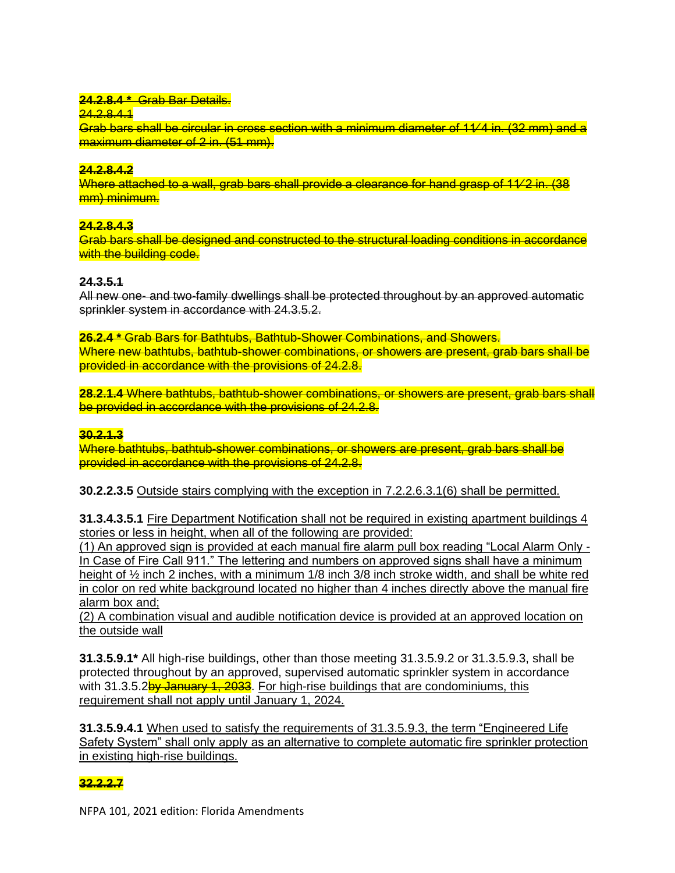## **24.2.8.4 \*** Grab Bar Details.

24.2.8.4.1

Grab bars shall be circular in cross section with a minimum diameter of 11∕ 4 in. (32 mm) and a maximum diameter of 2 in. (51 mm).

## **24.2.8.4.2**

Where attached to a wall, grab bars shall provide a clearance for hand grasp of 1√2 in. (38 mm) minimum.

## **24.2.8.4.3**

Grab bars shall be designed and constructed to the structural loading conditions in accordance with the building code.

## **24.3.5.1**

All new one- and two-family dwellings shall be protected throughout by an approved automatic sprinkler system in accordance with 24.3.5.2.

**26.2.4 \*** Grab Bars for Bathtubs, Bathtub-Shower Combinations, and Showers. Where new bathtubs, bathtub-shower combinations, or showers are present, grab bars shall be provided in accordance with the provisions of 24.2.8.

**28.2.1.4** Where bathtubs, bathtub-shower combinations, or showers are present, grab bars shall be provided in accordance with the provisions of 24.2.8.

### **30.2.1.3**

Where bathtubs, bathtub-shower combinations, or showers are present, grab bars shall be provided in accordance with the provisions of 24.2.8.

**30.2.2.3.5** Outside stairs complying with the exception in 7.2.2.6.3.1(6) shall be permitted.

**31.3.4.3.5.1** Fire Department Notification shall not be required in existing apartment buildings 4 stories or less in height, when all of the following are provided:

(1) An approved sign is provided at each manual fire alarm pull box reading "Local Alarm Only - In Case of Fire Call 911." The lettering and numbers on approved signs shall have a minimum height of ½ inch 2 inches, with a minimum 1/8 inch 3/8 inch stroke width, and shall be white red in color on red white background located no higher than 4 inches directly above the manual fire alarm box and;

(2) A combination visual and audible notification device is provided at an approved location on the outside wall

**31.3.5.9.1\*** All high-rise buildings, other than those meeting 31.3.5.9.2 or 31.3.5.9.3, shall be protected throughout by an approved, supervised automatic sprinkler system in accordance with 31.3.5.2by January 1, 2033. For high-rise buildings that are condominiums, this requirement shall not apply until January 1, 2024.

**31.3.5.9.4.1** When used to satisfy the requirements of 31.3.5.9.3, the term "Engineered Life Safety System" shall only apply as an alternative to complete automatic fire sprinkler protection in existing high-rise buildings.

# **32.2.2.7**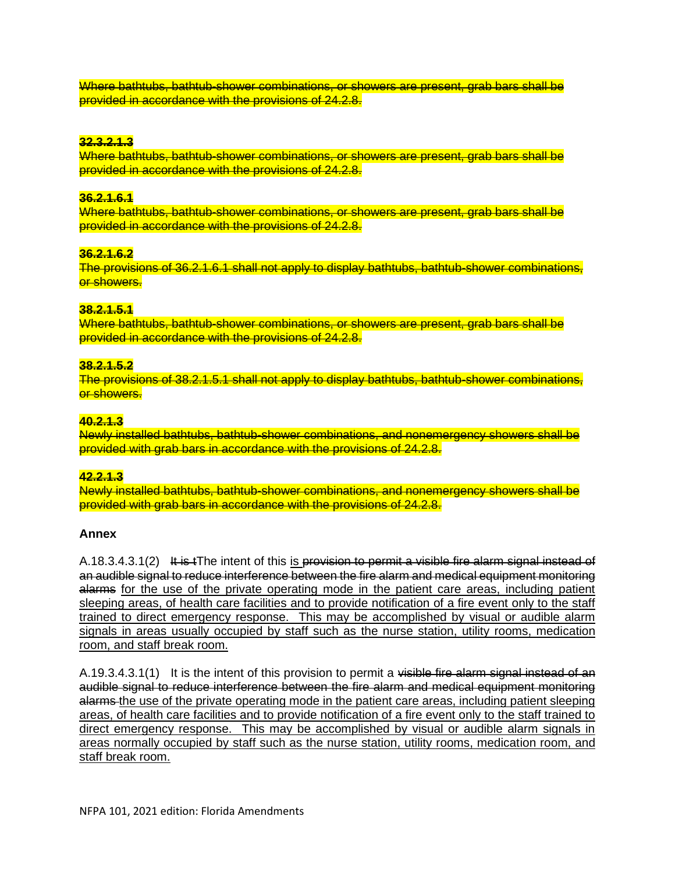Where bathtubs, bathtub-shower combinations, or showers are present, grab bars shall be provided in accordance with the provisions of 24.2.8.

#### **32.3.2.1.3**

Where bathtubs, bathtub-shower combinations, or showers are present, grab bars shall be provided in accordance with the provisions of 24.2.8.

#### **36.2.1.6.1**

Where bathtubs, bathtub-shower combinations, or showers are present, grab bars shall be provided in accordance with the provisions of 24.2.8.

#### **36.2.1.6.2**

The provisions of 36.2.1.6.1 shall not apply to display bathtubs, bathtub-shower combinations, or showers.

### **38.2.1.5.1**

Where bathtubs, bathtub-shower combinations, or showers are present, grab bars shall be provided in accordance with the provisions of 24.2.8.

#### **38.2.1.5.2**

The provisions of 38.2.1.5.1 shall not apply to display bathtubs, bathtub-shower combinations, or showers.

#### **40.2.1.3**

Newly installed bathtubs, bathtub-shower combinations, and nonemergency showers shall be provided with grab bars in accordance with the provisions of 24.2.8.

#### **42.2.1.3**

Newly installed bathtubs, bathtub-shower combinations, and nonemergency showers shall be provided with grab bars in accordance with the provisions of 24.2.8.

#### **Annex**

A.18.3.4.3.1(2) It is tThe intent of this is provision to permit a visible fire alarm signal instead of an audible signal to reduce interference between the fire alarm and medical equipment monitoring alarms for the use of the private operating mode in the patient care areas, including patient sleeping areas, of health care facilities and to provide notification of a fire event only to the staff trained to direct emergency response. This may be accomplished by visual or audible alarm signals in areas usually occupied by staff such as the nurse station, utility rooms, medication room, and staff break room.

A.19.3.4.3.1(1) It is the intent of this provision to permit a visible fire alarm signal instead of an audible signal to reduce interference between the fire alarm and medical equipment monitoring alarms the use of the private operating mode in the patient care areas, including patient sleeping areas, of health care facilities and to provide notification of a fire event only to the staff trained to direct emergency response. This may be accomplished by visual or audible alarm signals in areas normally occupied by staff such as the nurse station, utility rooms, medication room, and staff break room.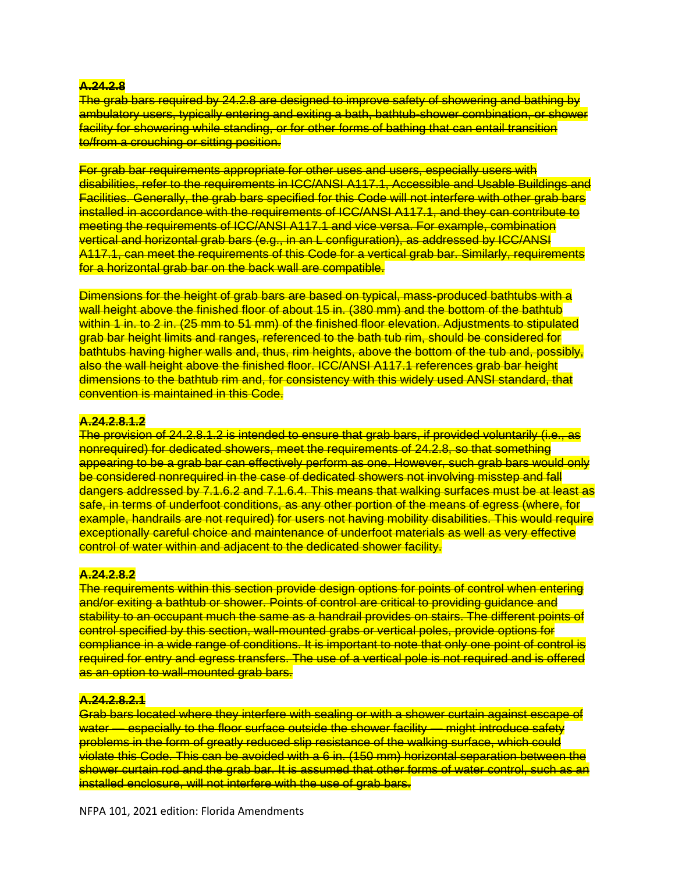### **A.24.2.8**

The grab bars required by 24.2.8 are designed to improve safety of showering and bathing by ambulatory users, typically entering and exiting a bath, bathtub-shower combination, or shower facility for showering while standing, or for other forms of bathing that can entail transition to/from a crouching or sitting position.

For grab bar requirements appropriate for other uses and users, especially users with disabilities, refer to the requirements in ICC/ANSI A117.1, Accessible and Usable Buildings and Facilities. Generally, the grab bars specified for this Code will not interfere with other grab bars installed in accordance with the requirements of ICC/ANSI A117.1, and they can contribute to meeting the requirements of ICC/ANSI A117.1 and vice versa. For example, combination vertical and horizontal grab bars (e.g., in an L configuration), as addressed by ICC/ANSI A117.1, can meet the requirements of this Code for a vertical grab bar. Similarly, requirements for a horizontal grab bar on the back wall are compatible.

Dimensions for the height of grab bars are based on typical, mass-produced bathtubs with a wall height above the finished floor of about 15 in. (380 mm) and the bottom of the bathtub within 1 in. to 2 in. (25 mm to 51 mm) of the finished floor elevation. Adjustments to stipulated grab bar height limits and ranges, referenced to the bath tub rim, should be considered for bathtubs having higher walls and, thus, rim heights, above the bottom of the tub and, possibly, also the wall height above the finished floor. ICC/ANSI A117.1 references grab bar height dimensions to the bathtub rim and, for consistency with this widely used ANSI standard, that convention is maintained in this Code.

#### **A.24.2.8.1.2**

The provision of 24.2.8.1.2 is intended to ensure that grab bars, if provided voluntarily (i.e., as nonrequired) for dedicated showers, meet the requirements of 24.2.8, so that something appearing to be a grab bar can effectively perform as one. However, such grab bars would only be considered nonrequired in the case of dedicated showers not involving misstep and fall dangers addressed by 7.1.6.2 and 7.1.6.4. This means that walking surfaces must be at least as safe, in terms of underfoot conditions, as any other portion of the means of egress (where, for example, handrails are not required) for users not having mobility disabilities. This would require exceptionally careful choice and maintenance of underfoot materials as well as very effective control of water within and adjacent to the dedicated shower facility.

#### **A.24.2.8.2**

The requirements within this section provide design options for points of control when entering and/or exiting a bathtub or shower. Points of control are critical to providing quidance and stability to an occupant much the same as a handrail provides on stairs. The different points of control specified by this section, wall-mounted grabs or vertical poles, provide options for compliance in a wide range of conditions. It is important to note that only one point of control is required for entry and egress transfers. The use of a vertical pole is not required and is offered as an option to wall-mounted grab bars.

## **A.24.2.8.2.1**

Grab bars located where they interfere with sealing or with a shower curtain against escape of water — especially to the floor surface outside the shower facility — might introduce safety problems in the form of greatly reduced slip resistance of the walking surface, which could violate this Code. This can be avoided with a 6 in. (150 mm) horizontal separation between the shower curtain rod and the grab bar. It is assumed that other forms of water control, such as an installed enclosure, will not interfere with the use of grab bars.